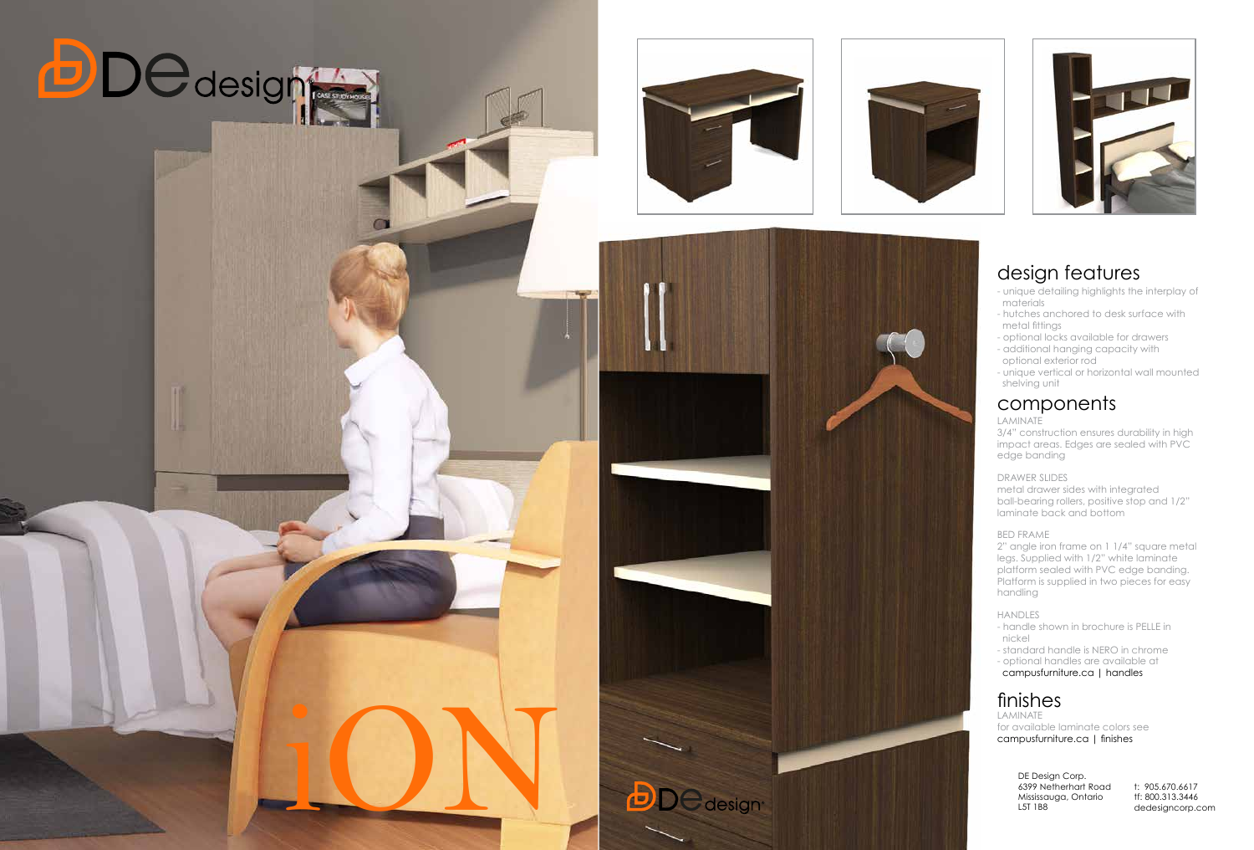# design features

- unique detailing highlights the interplay of materials
- hutches anchored to desk surface with metal fittings
- optional locks available for drawers
- additional hanging capacity with optional exterior rod
- unique vertical or horizontal wall mounted shelving unit

# components

## LAMINATE

3/4" construction ensures durability in high impact areas. Edges are sealed with PVC edge banding

#### DRAWER SLIDES

metal drawer sides with integrated ball-bearing rollers, positive stop and 1/2" laminate back and bottom

### BED FRAME

2" angle iron frame on 1 1/4" square metal legs. Supplied with 1/2" white laminate platform sealed with PVC edge banding. Platform is supplied in two pieces for easy handling

### HANDLES

- handle shown in brochure is PELLE in nickel
- standard handle is NERO in chrome
- optional handles are available at

campusfurniture.ca | handles

# finishes

LAMINATE for available laminate colors see











6399 Netherhart Road Mississauga, Ontario L5T 1B8

t: 905.670.6617 tf: 800.313.3446 dedesigncorp.com